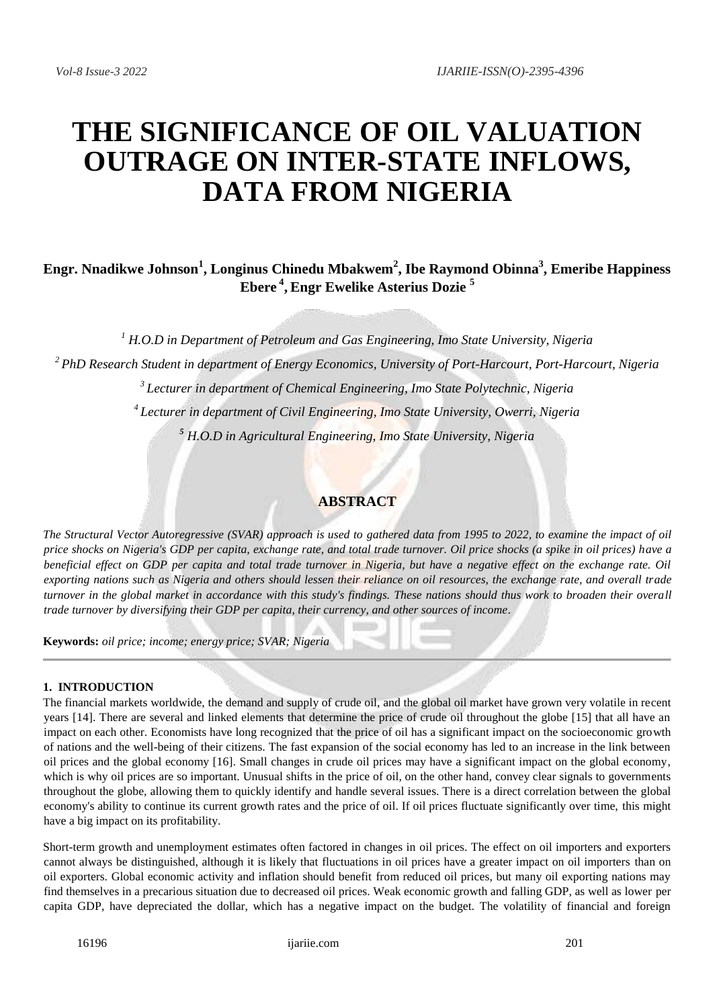# **THE SIGNIFICANCE OF OIL VALUATION OUTRAGE ON INTER-STATE INFLOWS, DATA FROM NIGERIA**

# **Engr. Nnadikwe Johnson<sup>1</sup> , Longinus Chinedu Mbakwem<sup>2</sup> , Ibe Raymond Obinna<sup>3</sup> , Emeribe Happiness Ebere <sup>4</sup> , Engr Ewelike Asterius Dozie <sup>5</sup>**

 *H.O.D in Department of Petroleum and Gas Engineering, Imo State University, Nigeria PhD Research Student in department of Energy Economics, University of Port-Harcourt, Port-Harcourt, Nigeria Lecturer in department of Chemical Engineering, Imo State Polytechnic, Nigeria Lecturer in department of Civil Engineering, Imo State University, Owerri, Nigeria H.O.D in Agricultural Engineering, Imo State University, Nigeria*

# **ABSTRACT**

*The Structural Vector Autoregressive (SVAR) approach is used to gathered data from 1995 to 2022, to examine the impact of oil price shocks on Nigeria's GDP per capita, exchange rate, and total trade turnover. Oil price shocks (a spike in oil prices) have a beneficial effect on GDP per capita and total trade turnover in Nigeria, but have a negative effect on the exchange rate. Oil exporting nations such as Nigeria and others should lessen their reliance on oil resources, the exchange rate, and overall trade turnover in the global market in accordance with this study's findings. These nations should thus work to broaden their overall trade turnover by diversifying their GDP per capita, their currency, and other sources of income.*

**Keywords:** *oil price; income; energy price; SVAR; Nigeria*

#### **1. INTRODUCTION**

The financial markets worldwide, the demand and supply of crude oil, and the global oil market have grown very volatile in recent years [14]. There are several and linked elements that determine the price of crude oil throughout the globe [15] that all have an impact on each other. Economists have long recognized that the price of oil has a significant impact on the socioeconomic growth of nations and the well-being of their citizens. The fast expansion of the social economy has led to an increase in the link between oil prices and the global economy [16]. Small changes in crude oil prices may have a significant impact on the global economy, which is why oil prices are so important. Unusual shifts in the price of oil, on the other hand, convey clear signals to governments throughout the globe, allowing them to quickly identify and handle several issues. There is a direct correlation between the global economy's ability to continue its current growth rates and the price of oil. If oil prices fluctuate significantly over time, this might have a big impact on its profitability.

Short-term growth and unemployment estimates often factored in changes in oil prices. The effect on oil importers and exporters cannot always be distinguished, although it is likely that fluctuations in oil prices have a greater impact on oil importers than on oil exporters. Global economic activity and inflation should benefit from reduced oil prices, but many oil exporting nations may find themselves in a precarious situation due to decreased oil prices. Weak economic growth and falling GDP, as well as lower per capita GDP, have depreciated the dollar, which has a negative impact on the budget. The volatility of financial and foreign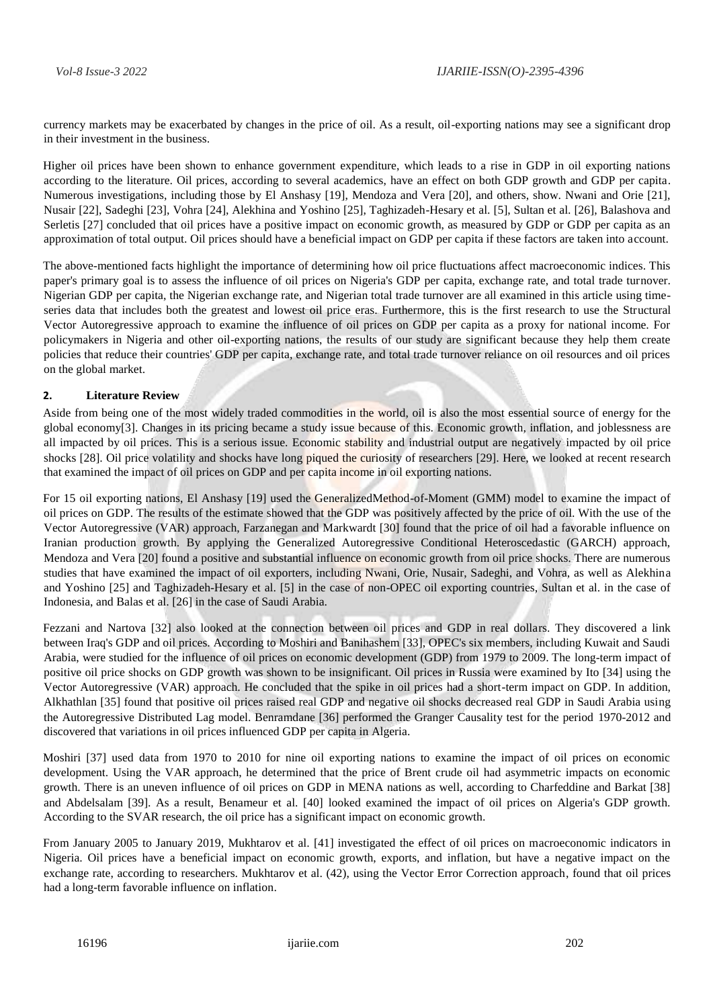currency markets may be exacerbated by changes in the price of oil. As a result, oil-exporting nations may see a significant drop in their investment in the business.

Higher oil prices have been shown to enhance government expenditure, which leads to a rise in GDP in oil exporting nations according to the literature. Oil prices, according to several academics, have an effect on both GDP growth and GDP per capita. Numerous investigations, including those by El Anshasy [19], Mendoza and Vera [20], and others, show. Nwani and Orie [21], Nusair [22], Sadeghi [23], Vohra [24], Alekhina and Yoshino [25], Taghizadeh-Hesary et al. [5], Sultan et al. [26], Balashova and Serletis [27] concluded that oil prices have a positive impact on economic growth, as measured by GDP or GDP per capita as an approximation of total output. Oil prices should have a beneficial impact on GDP per capita if these factors are taken into account.

The above-mentioned facts highlight the importance of determining how oil price fluctuations affect macroeconomic indices. This paper's primary goal is to assess the influence of oil prices on Nigeria's GDP per capita, exchange rate, and total trade turnover. Nigerian GDP per capita, the Nigerian exchange rate, and Nigerian total trade turnover are all examined in this article using timeseries data that includes both the greatest and lowest oil price eras. Furthermore, this is the first research to use the Structural Vector Autoregressive approach to examine the influence of oil prices on GDP per capita as a proxy for national income. For policymakers in Nigeria and other oil-exporting nations, the results of our study are significant because they help them create policies that reduce their countries' GDP per capita, exchange rate, and total trade turnover reliance on oil resources and oil prices on the global market.

#### **2. Literature Review**

Aside from being one of the most widely traded commodities in the world, oil is also the most essential source of energy for the global economy[3]. Changes in its pricing became a study issue because of this. Economic growth, inflation, and joblessness are all impacted by oil prices. This is a serious issue. Economic stability and industrial output are negatively impacted by oil price shocks [28]. Oil price volatility and shocks have long piqued the curiosity of researchers [29]. Here, we looked at recent research that examined the impact of oil prices on GDP and per capita income in oil exporting nations.

For 15 oil exporting nations, El Anshasy [19] used the GeneralizedMethod-of-Moment (GMM) model to examine the impact of oil prices on GDP. The results of the estimate showed that the GDP was positively affected by the price of oil. With the use of the Vector Autoregressive (VAR) approach, Farzanegan and Markwardt [30] found that the price of oil had a favorable influence on Iranian production growth. By applying the Generalized Autoregressive Conditional Heteroscedastic (GARCH) approach, Mendoza and Vera [20] found a positive and substantial influence on economic growth from oil price shocks. There are numerous studies that have examined the impact of oil exporters, including Nwani, Orie, Nusair, Sadeghi, and Vohra, as well as Alekhina and Yoshino [25] and Taghizadeh-Hesary et al. [5] in the case of non-OPEC oil exporting countries, Sultan et al. in the case of Indonesia, and Balas et al. [26] in the case of Saudi Arabia.

Fezzani and Nartova [32] also looked at the connection between oil prices and GDP in real dollars. They discovered a link between Iraq's GDP and oil prices. According to Moshiri and Banihashem [33], OPEC's six members, including Kuwait and Saudi Arabia, were studied for the influence of oil prices on economic development (GDP) from 1979 to 2009. The long-term impact of positive oil price shocks on GDP growth was shown to be insignificant. Oil prices in Russia were examined by Ito [34] using the Vector Autoregressive (VAR) approach. He concluded that the spike in oil prices had a short-term impact on GDP. In addition, Alkhathlan [35] found that positive oil prices raised real GDP and negative oil shocks decreased real GDP in Saudi Arabia using the Autoregressive Distributed Lag model. Benramdane [36] performed the Granger Causality test for the period 1970-2012 and discovered that variations in oil prices influenced GDP per capita in Algeria.

Moshiri [37] used data from 1970 to 2010 for nine oil exporting nations to examine the impact of oil prices on economic development. Using the VAR approach, he determined that the price of Brent crude oil had asymmetric impacts on economic growth. There is an uneven influence of oil prices on GDP in MENA nations as well, according to Charfeddine and Barkat [38] and Abdelsalam [39]. As a result, Benameur et al. [40] looked examined the impact of oil prices on Algeria's GDP growth. According to the SVAR research, the oil price has a significant impact on economic growth.

From January 2005 to January 2019, Mukhtarov et al. [41] investigated the effect of oil prices on macroeconomic indicators in Nigeria. Oil prices have a beneficial impact on economic growth, exports, and inflation, but have a negative impact on the exchange rate, according to researchers. Mukhtarov et al. (42), using the Vector Error Correction approach, found that oil prices had a long-term favorable influence on inflation.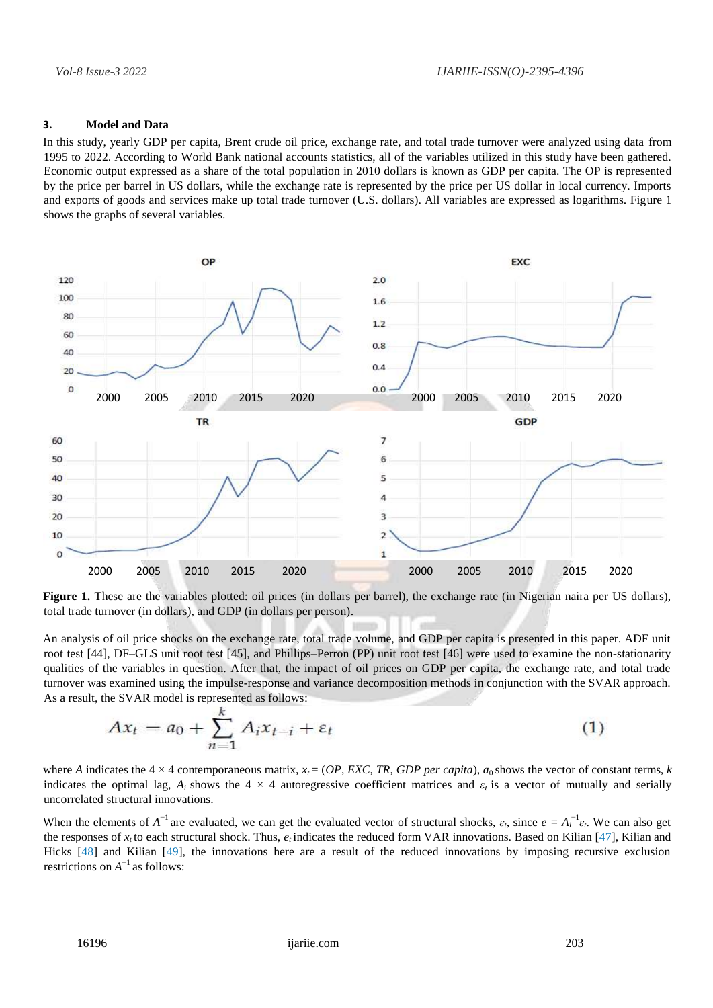## **3. Model and Data**

In this study, yearly GDP per capita, Brent crude oil price, exchange rate, and total trade turnover were analyzed using data from 1995 to 2022. According to World Bank national accounts statistics, all of the variables utilized in this study have been gathered. Economic output expressed as a share of the total population in 2010 dollars is known as GDP per capita. The OP is represented by the price per barrel in US dollars, while the exchange rate is represented by the price per US dollar in local currency. Imports and exports of goods and services make up total trade turnover (U.S. dollars). All variables are expressed as logarithms. Figure 1 shows the graphs of several variables.



Figure 1. These are the variables plotted: oil prices (in dollars per barrel), the exchange rate (in Nigerian naira per US dollars), total trade turnover (in dollars), and GDP (in dollars per person).

An analysis of oil price shocks on the exchange rate, total trade volume, and GDP per capita is presented in this paper. ADF unit root test [44], DF–GLS unit root test [45], and Phillips–Perron (PP) unit root test [46] were used to examine the non-stationarity qualities of the variables in question. After that, the impact of oil prices on GDP per capita, the exchange rate, and total trade turnover was examined using the impulse-response and variance decomposition methods in conjunction with the SVAR approach. As a result, the SVAR model is represented as follows:

$$
Ax_t = a_0 + \sum_{n=1}^{k} A_i x_{t-i} + \varepsilon_t \tag{1}
$$

where *A* indicates the  $4 \times 4$  contemporaneous matrix,  $x_t = (OP, EXC, TR, GDP per capital)$ ,  $a_0$  shows the vector of constant terms, *k* indicates the optimal lag,  $A_i$  shows the 4  $\times$  4 autoregressive coefficient matrices and  $\varepsilon_i$  is a vector of mutually and serially uncorrelated structural innovations.

When the elements of  $A^{-1}$  are evaluated, we can get the evaluated vector of structural shocks,  $\varepsilon_t$ , since  $e = A_i^{-1} \varepsilon_t$ . We can also get the responses of *xt* to each structural shock. Thus, *et* indicates the reduced form VAR innovations. Based on Kilian [47], Kilian and Hicks [48] and Kilian [49], the innovations here are a result of the reduced innovations by imposing recursive exclusion restrictions on  $A^{-1}$  as follows: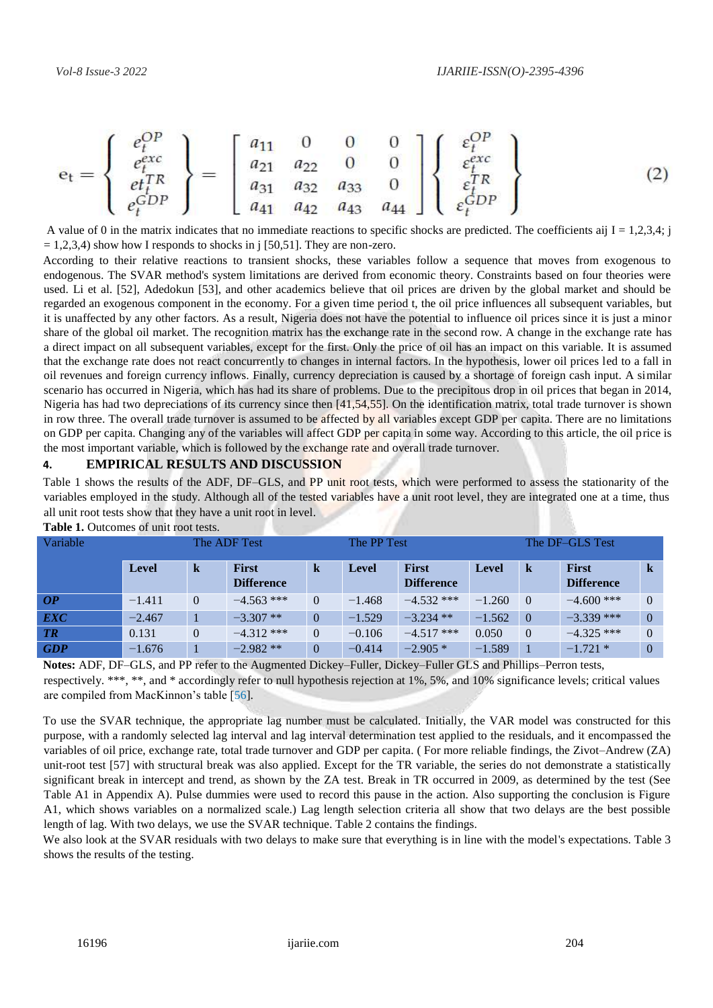$$
\mathbf{e}_{t} = \begin{Bmatrix} e_{t}^{OP} \\ e_{t}^{exc} \\ e_{t}^{TP} \\ e_{t}^{GDP} \end{Bmatrix} = \begin{bmatrix} a_{11} & 0 & 0 & 0 \\ a_{21} & a_{22} & 0 & 0 \\ a_{31} & a_{32} & a_{33} & 0 \\ a_{41} & a_{42} & a_{43} & a_{44} \end{bmatrix} \begin{Bmatrix} \varepsilon_{t}^{OP} \\ \varepsilon_{t}^{exc} \\ \varepsilon_{t}^{GDP} \\ \varepsilon_{t}^{GDP} \end{Bmatrix}
$$
 (2)

A value of 0 in the matrix indicates that no immediate reactions to specific shocks are predicted. The coefficients aij  $I = 1,2,3,4$ ; j  $= 1,2,3,4$ ) show how I responds to shocks in j [50,51]. They are non-zero.

According to their relative reactions to transient shocks, these variables follow a sequence that moves from exogenous to endogenous. The SVAR method's system limitations are derived from economic theory. Constraints based on four theories were used. Li et al. [52], Adedokun [53], and other academics believe that oil prices are driven by the global market and should be regarded an exogenous component in the economy. For a given time period t, the oil price influences all subsequent variables, but it is unaffected by any other factors. As a result, Nigeria does not have the potential to influence oil prices since it is just a minor share of the global oil market. The recognition matrix has the exchange rate in the second row. A change in the exchange rate has a direct impact on all subsequent variables, except for the first. Only the price of oil has an impact on this variable. It is assumed that the exchange rate does not react concurrently to changes in internal factors. In the hypothesis, lower oil prices led to a fall in oil revenues and foreign currency inflows. Finally, currency depreciation is caused by a shortage of foreign cash input. A similar scenario has occurred in Nigeria, which has had its share of problems. Due to the precipitous drop in oil prices that began in 2014, Nigeria has had two depreciations of its currency since then [41,54,55]. On the identification matrix, total trade turnover is shown in row three. The overall trade turnover is assumed to be affected by all variables except GDP per capita. There are no limitations on GDP per capita. Changing any of the variables will affect GDP per capita in some way. According to this article, the oil price is the most important variable, which is followed by the exchange rate and overall trade turnover.

#### **4. EMPIRICAL RESULTS AND DISCUSSION**

Table 1 shows the results of the ADF, DF–GLS, and PP unit root tests, which were performed to assess the stationarity of the variables employed in the study. Although all of the tested variables have a unit root level, they are integrated one at a time, thus all unit root tests show that they have a unit root in level.

| Variable   |              |                | The ADF Test                      |                | The PP Test  |                                   | The DF-GLS Test |                |                                   |          |  |
|------------|--------------|----------------|-----------------------------------|----------------|--------------|-----------------------------------|-----------------|----------------|-----------------------------------|----------|--|
|            | <b>Level</b> | k              | <b>First</b><br><b>Difference</b> | $\bf k$        | <b>Level</b> | <b>First</b><br><b>Difference</b> | <b>Level</b>    | k              | <b>First</b><br><b>Difference</b> | $\bf k$  |  |
| OP         | $-1.411$     | $\theta$       | $-4.563$ ***                      | $\Omega$       | $-1.468$     | $-4.532$ ***                      | $-1.260$        | $\Omega$       | $-4.600$ ***                      | $\Omega$ |  |
| <b>EXC</b> | $-2.467$     |                | $-3.307$ **                       | $\overline{0}$ | $-1.529$     | $-3.234$ **                       | $-1.562$        | $\theta$       | $-3.339$ ***                      | $\Omega$ |  |
| TR         | 0.131        | $\overline{0}$ | $-4.312$ ***                      | $\Omega$       | $-0.106$     | $-4.517$ ***                      | 0.050           | $\overline{0}$ | $-4.325$ ***                      | $\theta$ |  |
| <b>GDP</b> | $-1.676$     |                | $-2.982**$                        | $\mathbf{0}$   | $-0.414$     | $-2.905*$                         | $-1.589$        |                | $-1.721*$                         | $\theta$ |  |

Table 1. Outcomes of unit root tests.

**Notes:** ADF, DF–GLS, and PP refer to the Augmented Dickey–Fuller, Dickey–Fuller GLS and Phillips–Perron tests, respectively. \*\*\*, \*\*, and \* accordingly refer to null hypothesis rejection at 1%, 5%, and 10% significance levels; critical values are compiled from MacKinnon's table [56].

To use the SVAR technique, the appropriate lag number must be calculated. Initially, the VAR model was constructed for this purpose, with a randomly selected lag interval and lag interval determination test applied to the residuals, and it encompassed the variables of oil price, exchange rate, total trade turnover and GDP per capita. ( For more reliable findings, the Zivot–Andrew (ZA) unit-root test [57] with structural break was also applied. Except for the TR variable, the series do not demonstrate a statistically significant break in intercept and trend, as shown by the ZA test. Break in TR occurred in 2009, as determined by the test (See Table A1 in Appendix A). Pulse dummies were used to record this pause in the action. Also supporting the conclusion is Figure A1, which shows variables on a normalized scale.) Lag length selection criteria all show that two delays are the best possible length of lag. With two delays, we use the SVAR technique. Table 2 contains the findings.

We also look at the SVAR residuals with two delays to make sure that everything is in line with the model's expectations. Table 3 shows the results of the testing.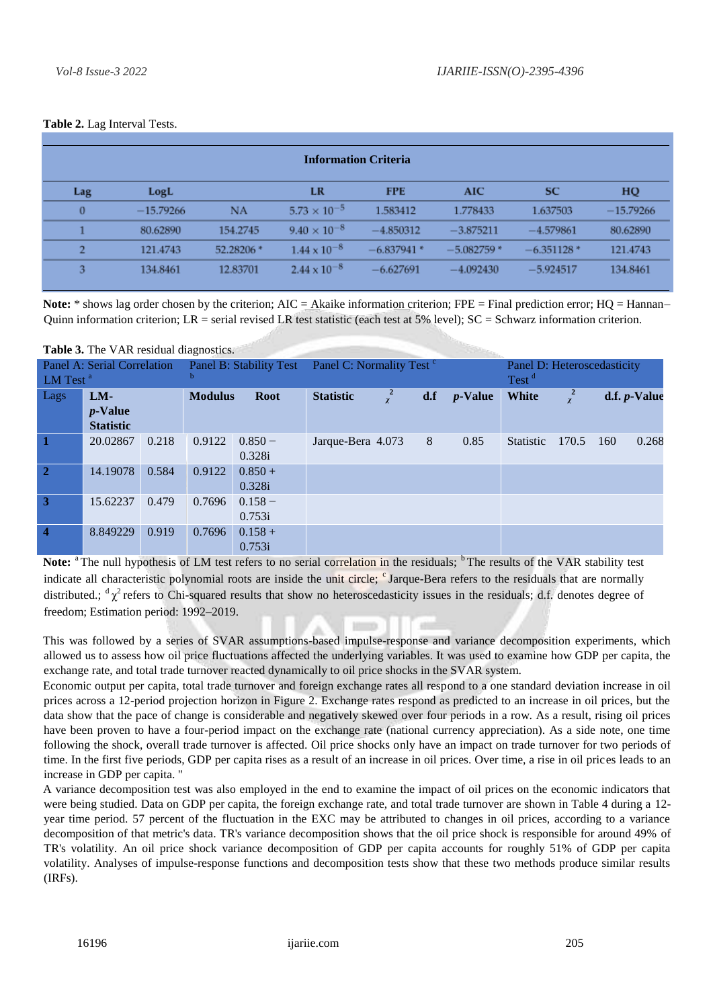| <b>Information Criteria</b> |             |            |                       |              |              |              |             |  |  |  |
|-----------------------------|-------------|------------|-----------------------|--------------|--------------|--------------|-------------|--|--|--|
| Lag                         | LogL        |            | LR                    | <b>FPE</b>   | AIC          | <b>SC</b>    | HQ          |  |  |  |
| $\bf{0}$                    | $-15.79266$ | NA         | $5.73 \times 10^{-5}$ | 1.583412     | 1.778433     | 1.637503     | $-15.79266$ |  |  |  |
|                             | 80.62890    | 154.2745   | $9.40 \times 10^{-8}$ | $-4.850312$  | $-3.875211$  | $-4.579861$  | 80.62890    |  |  |  |
| $\overline{2}$              | 121.4743    | 52.28206 * | $1.44 \times 10^{-8}$ | $-6.837941*$ | $-5.082759*$ | $-6.351128*$ | 121.4743    |  |  |  |
| 3                           | 134.8461    | 12.83701   | $2.44 \times 10^{-8}$ | $-6.627691$  | $-4.092430$  | $-5.924517$  | 134.8461    |  |  |  |

#### **Table 2.** Lag Interval Tests.

**Note:**  $*$  shows lag order chosen by the criterion; AIC = Akaike information criterion; FPE = Final prediction error; HQ = Hannan– Quinn information criterion; LR = serial revised LR test statistic (each test at 5% level);  $SC = Schwarz$  information criterion.

**Table 3.** The VAR residual diagnostics.

| Panel A: Serial Correlation<br>LM Test <sup>a</sup> |                                         |       | Panel B: Stability Test<br>b |                     | Panel C: Normality Test <sup>c</sup> | Panel D: Heteroscedasticity<br>Test <sup>d</sup> |            |                  |                  |     |                      |
|-----------------------------------------------------|-----------------------------------------|-------|------------------------------|---------------------|--------------------------------------|--------------------------------------------------|------------|------------------|------------------|-----|----------------------|
| Lags                                                | $LM-$<br>$p$ -Value<br><b>Statistic</b> |       | <b>Modulus</b>               | <b>Root</b>         | <b>Statistic</b>                     | d.f                                              | $p$ -Value | <b>White</b>     | $\frac{2}{\chi}$ |     | d.f. <i>p</i> -Value |
| $\mathbf{1}$                                        | 20.02867                                | 0.218 | 0.9122                       | $0.850 -$<br>0.328i | Jarque-Bera 4.073                    | 8                                                | 0.85       | <b>Statistic</b> | 170.5            | 160 | 0.268                |
| $\overline{2}$                                      | 14.19078                                | 0.584 | 0.9122                       | $0.850 +$<br>0.328i |                                      |                                                  |            |                  |                  |     |                      |
| $\overline{3}$                                      | 15.62237                                | 0.479 | 0.7696                       | $0.158 -$<br>0.753i |                                      |                                                  |            |                  |                  |     |                      |
| $\boldsymbol{4}$                                    | 8.849229                                | 0.919 | 0.7696                       | $0.158 +$<br>0.753i |                                      |                                                  |            |                  |                  |     |                      |

Note: <sup>a</sup>The null hypothesis of LM test refers to no serial correlation in the residuals; <sup>b</sup>The results of the VAR stability test indicate all characteristic polynomial roots are inside the unit circle; <sup>c</sup>Jarque-Bera refers to the residuals that are normally distributed.;  ${}^d\chi^2$  refers to Chi-squared results that show no heteroscedasticity issues in the residuals; d.f. denotes degree of freedom; Estimation period: 1992–2019.

This was followed by a series of SVAR assumptions-based impulse-response and variance decomposition experiments, which allowed us to assess how oil price fluctuations affected the underlying variables. It was used to examine how GDP per capita, the exchange rate, and total trade turnover reacted dynamically to oil price shocks in the SVAR system.

Economic output per capita, total trade turnover and foreign exchange rates all respond to a one standard deviation increase in oil prices across a 12-period projection horizon in Figure 2. Exchange rates respond as predicted to an increase in oil prices, but the data show that the pace of change is considerable and negatively skewed over four periods in a row. As a result, rising oil prices have been proven to have a four-period impact on the exchange rate (national currency appreciation). As a side note, one time following the shock, overall trade turnover is affected. Oil price shocks only have an impact on trade turnover for two periods of time. In the first five periods, GDP per capita rises as a result of an increase in oil prices. Over time, a rise in oil prices leads to an increase in GDP per capita. "

A variance decomposition test was also employed in the end to examine the impact of oil prices on the economic indicators that were being studied. Data on GDP per capita, the foreign exchange rate, and total trade turnover are shown in Table 4 during a 12 year time period. 57 percent of the fluctuation in the EXC may be attributed to changes in oil prices, according to a variance decomposition of that metric's data. TR's variance decomposition shows that the oil price shock is responsible for around 49% of TR's volatility. An oil price shock variance decomposition of GDP per capita accounts for roughly 51% of GDP per capita volatility. Analyses of impulse-response functions and decomposition tests show that these two methods produce similar results (IRFs).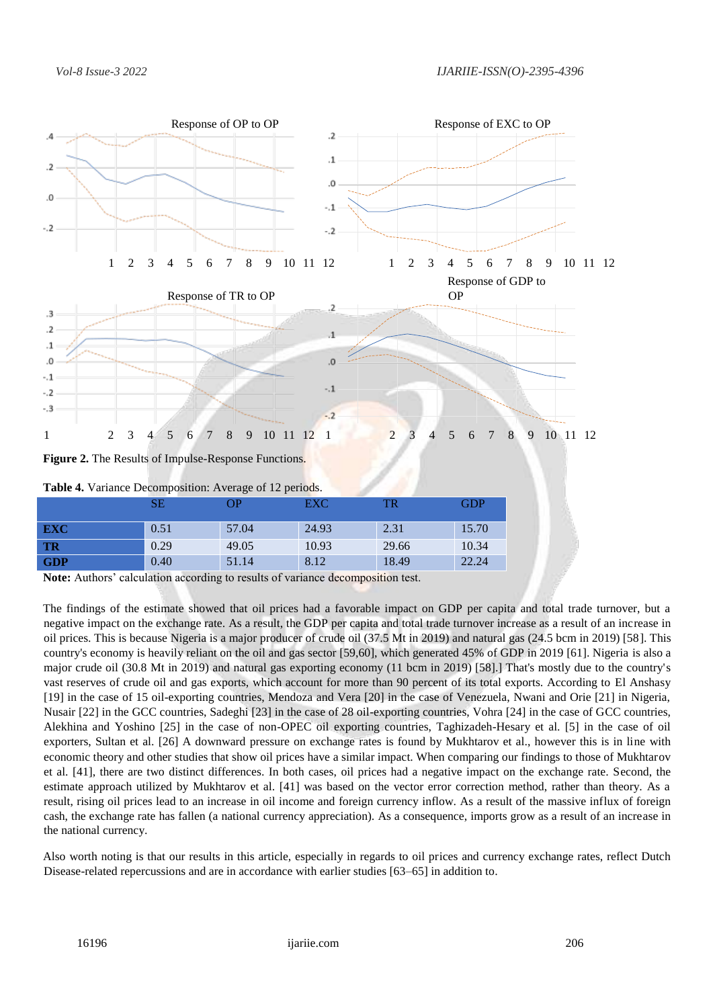

**Note:** Authors' calculation according to results of variance decomposition test.

The findings of the estimate showed that oil prices had a favorable impact on GDP per capita and total trade turnover, but a negative impact on the exchange rate. As a result, the GDP per capita and total trade turnover increase as a result of an increase in oil prices. This is because Nigeria is a major producer of crude oil (37.5 Mt in 2019) and natural gas (24.5 bcm in 2019) [58]. This country's economy is heavily reliant on the oil and gas sector [59,60], which generated 45% of GDP in 2019 [61]. Nigeria is also a major crude oil (30.8 Mt in 2019) and natural gas exporting economy (11 bcm in 2019) [58].] That's mostly due to the country's vast reserves of crude oil and gas exports, which account for more than 90 percent of its total exports. According to El Anshasy [19] in the case of 15 oil-exporting countries, Mendoza and Vera [20] in the case of Venezuela, Nwani and Orie [21] in Nigeria, Nusair [22] in the GCC countries, Sadeghi [23] in the case of 28 oil-exporting countries, Vohra [24] in the case of GCC countries, Alekhina and Yoshino [25] in the case of non-OPEC oil exporting countries, Taghizadeh-Hesary et al. [5] in the case of oil exporters, Sultan et al. [26] A downward pressure on exchange rates is found by Mukhtarov et al., however this is in line with economic theory and other studies that show oil prices have a similar impact. When comparing our findings to those of Mukhtarov et al. [41], there are two distinct differences. In both cases, oil prices had a negative impact on the exchange rate. Second, the estimate approach utilized by Mukhtarov et al. [41] was based on the vector error correction method, rather than theory. As a result, rising oil prices lead to an increase in oil income and foreign currency inflow. As a result of the massive influx of foreign cash, the exchange rate has fallen (a national currency appreciation). As a consequence, imports grow as a result of an increase in the national currency.

Also worth noting is that our results in this article, especially in regards to oil prices and currency exchange rates, reflect Dutch Disease-related repercussions and are in accordance with earlier studies [63–65] in addition to.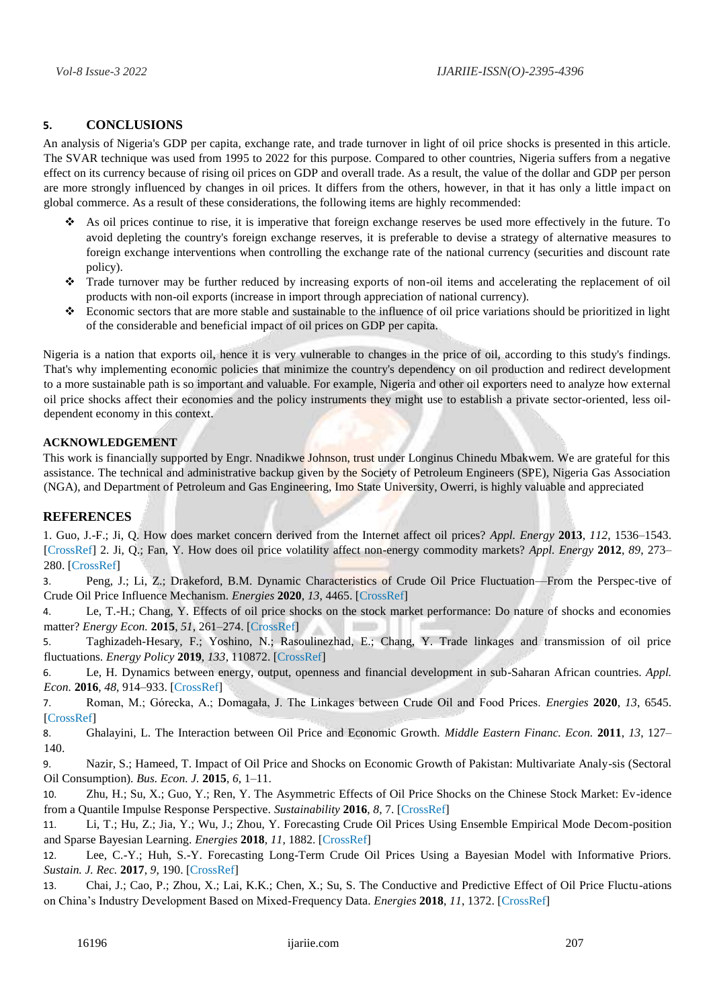## **5. CONCLUSIONS**

An analysis of Nigeria's GDP per capita, exchange rate, and trade turnover in light of oil price shocks is presented in this article. The SVAR technique was used from 1995 to 2022 for this purpose. Compared to other countries, Nigeria suffers from a negative effect on its currency because of rising oil prices on GDP and overall trade. As a result, the value of the dollar and GDP per person are more strongly influenced by changes in oil prices. It differs from the others, however, in that it has only a little impact on global commerce. As a result of these considerations, the following items are highly recommended:

- As oil prices continue to rise, it is imperative that foreign exchange reserves be used more effectively in the future. To avoid depleting the country's foreign exchange reserves, it is preferable to devise a strategy of alternative measures to foreign exchange interventions when controlling the exchange rate of the national currency (securities and discount rate policy).
- Trade turnover may be further reduced by increasing exports of non-oil items and accelerating the replacement of oil products with non-oil exports (increase in import through appreciation of national currency).
- Economic sectors that are more stable and sustainable to the influence of oil price variations should be prioritized in light of the considerable and beneficial impact of oil prices on GDP per capita.

Nigeria is a nation that exports oil, hence it is very vulnerable to changes in the price of oil, according to this study's findings. That's why implementing economic policies that minimize the country's dependency on oil production and redirect development to a more sustainable path is so important and valuable. For example, Nigeria and other oil exporters need to analyze how external oil price shocks affect their economies and the policy instruments they might use to establish a private sector-oriented, less oildependent economy in this context.

#### **ACKNOWLEDGEMENT**

This work is financially supported by Engr. Nnadikwe Johnson, trust under Longinus Chinedu Mbakwem. We are grateful for this assistance. The technical and administrative backup given by the Society of Petroleum Engineers (SPE), Nigeria Gas Association (NGA), and Department of Petroleum and Gas Engineering, Imo State University, Owerri, is highly valuable and appreciated

## **REFERENCES**

1. Guo, J.-F.; Ji, Q. How does market concern derived from the Internet affect oil prices? *Appl. Energy* **2013**, *112*, 1536–1543. [\[CrossRef\] 2](http://doi.org/10.1016/j.apenergy.2013.03.027). Ji, Q.; Fan, Y. How does oil price volatility affect non-energy commodity markets? *Appl. Energy* **2012**, *89*, 273– 280. [\[CrossRef\]](http://doi.org/10.1016/j.apenergy.2011.07.038)

3. Peng, J.; Li, Z.; Drakeford, B.M. Dynamic Characteristics of Crude Oil Price Fluctuation—From the Perspec-tive of Crude Oil Price Influence Mechanism. *Energies* **2020**, *13*, 4465. [\[CrossRef\]](http://doi.org/10.3390/en13174465)

4. Le, T.-H.; Chang, Y. Effects of oil price shocks on the stock market performance: Do nature of shocks and economies matter? *Energy Econ.* **2015**, *51*, 261–274. [\[CrossRef\]](http://doi.org/10.1016/j.eneco.2015.06.019) m

5. Taghizadeh-Hesary, F.; Yoshino, N.; Rasoulinezhad, E.; Chang, Y. Trade linkages and transmission of oil price fluctuations. *Energy Policy* **2019**, *133*, 110872. [\[CrossRef\]](http://doi.org/10.1016/j.enpol.2019.07.008)

6. Le, H. Dynamics between energy, output, openness and financial development in sub-Saharan African countries. *Appl. Econ.* **2016**, *48*, 914–933. [\[CrossRef\]](http://doi.org/10.1080/00036846.2015.1090550)

7. Roman, M.; Górecka, A.; Domagała, J. The Linkages between Crude Oil and Food Prices. *Energies* **2020**, *13*, 6545. [\[CrossRef\]](http://doi.org/10.3390/en13246545)

8. Ghalayini, L. The Interaction between Oil Price and Economic Growth. *Middle Eastern Financ. Econ.* **2011**, *13*, 127– 140.

9. Nazir, S.; Hameed, T. Impact of Oil Price and Shocks on Economic Growth of Pakistan: Multivariate Analy-sis (Sectoral Oil Consumption). *Bus. Econ. J.* **2015**, *6*, 1–11.

10. Zhu, H.; Su, X.; Guo, Y.; Ren, Y. The Asymmetric Effects of Oil Price Shocks on the Chinese Stock Market: Ev-idence from a Quantile Impulse Response Perspective. *Sustainability* **2016**, *8*, 7. [\[CrossRef\]](http://doi.org/10.3390/su8080766)

11. Li, T.; Hu, Z.; Jia, Y.; Wu, J.; Zhou, Y. Forecasting Crude Oil Prices Using Ensemble Empirical Mode Decom-position and Sparse Bayesian Learning. *Energies* **2018**, *11*, 1882. [\[CrossRef\]](http://doi.org/10.3390/en11071882)

12. Lee, C.-Y.; Huh, S.-Y. Forecasting Long-Term Crude Oil Prices Using a Bayesian Model with Informative Priors. *Sustain. J. Rec.* **2017**, *9*, 190. [\[CrossRef\]](http://doi.org/10.3390/su9020190)

13. Chai, J.; Cao, P.; Zhou, X.; Lai, K.K.; Chen, X.; Su, S. The Conductive and Predictive Effect of Oil Price Fluctu-ations on China's Industry Development Based on Mixed-Frequency Data. *Energies* **2018**, *11*, 1372. [\[CrossRef\]](http://doi.org/10.3390/en11061372)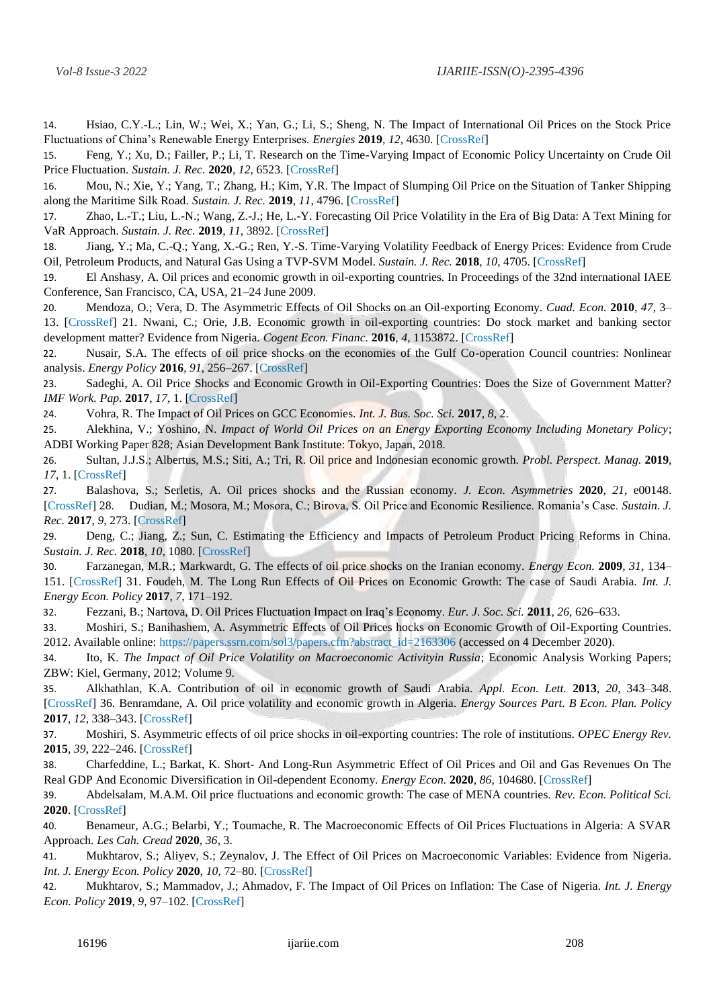14. Hsiao, C.Y.-L.; Lin, W.; Wei, X.; Yan, G.; Li, S.; Sheng, N. The Impact of International Oil Prices on the Stock Price Fluctuations of China's Renewable Energy Enterprises. *Energies* **2019**, *12*, 4630. [\[CrossRef\]](http://doi.org/10.3390/en12244630)

15. Feng, Y.; Xu, D.; Failler, P.; Li, T. Research on the Time-Varying Impact of Economic Policy Uncertainty on Crude Oil Price Fluctuation. *Sustain. J. Rec.* **2020**, *12*, 6523. [\[CrossRef\]](http://doi.org/10.3390/su12166523)

16. Mou, N.; Xie, Y.; Yang, T.; Zhang, H.; Kim, Y.R. The Impact of Slumping Oil Price on the Situation of Tanker Shipping along the Maritime Silk Road. *Sustain. J. Rec.* **2019**, *11*, 4796. [\[CrossRef\]](http://doi.org/10.3390/su11174796)

17. Zhao, L.-T.; Liu, L.-N.; Wang, Z.-J.; He, L.-Y. Forecasting Oil Price Volatility in the Era of Big Data: A Text Mining for VaR Approach. *Sustain. J. Rec.* **2019**, *11*, 3892. [\[CrossRef\]](http://doi.org/10.3390/su11143892)

18. Jiang, Y.; Ma, C.-Q.; Yang, X.-G.; Ren, Y.-S. Time-Varying Volatility Feedback of Energy Prices: Evidence from Crude Oil, Petroleum Products, and Natural Gas Using a TVP-SVM Model. *Sustain. J. Rec.* **2018**, *10*, 4705. [\[CrossRef\]](http://doi.org/10.3390/su10124705)

19. El Anshasy, A. Oil prices and economic growth in oil-exporting countries. In Proceedings of the 32nd international IAEE Conference, San Francisco, CA, USA, 21–24 June 2009.

20. Mendoza, O.; Vera, D. The Asymmetric Effects of Oil Shocks on an Oil-exporting Economy. *Cuad. Econ.* **2010**, *47*, 3– 13. [\[CrossRef\] 2](http://doi.org/10.4067/S0717-68212010000100001)1. Nwani, C.; Orie, J.B. Economic growth in oil-exporting countries: Do stock market and banking sector development matter? Evidence from Nigeria. *Cogent Econ. Financ.* **2016**, *4*, 1153872. [\[CrossRef\]](http://doi.org/10.1080/23322039.2016.1153872)

22. Nusair, S.A. The effects of oil price shocks on the economies of the Gulf Co-operation Council countries: Nonlinear analysis. *Energy Policy* **2016**, *91*, 256–267. [\[CrossRef\]](http://doi.org/10.1016/j.enpol.2016.01.013)

23. Sadeghi, A. Oil Price Shocks and Economic Growth in Oil-Exporting Countries: Does the Size of Government Matter? *IMF Work. Pap.* **2017**, *17*, 1. [\[CrossRef\]](http://doi.org/10.5089/9781484335390.001)

24. Vohra, R. The Impact of Oil Prices on GCC Economies. *Int. J. Bus. Soc. Sci.* **2017**, *8*, 2.

25. Alekhina, V.; Yoshino, N. *Impact of World Oil Prices on an Energy Exporting Economy Including Monetary Policy*; ADBI Working Paper 828; Asian Development Bank Institute: Tokyo, Japan, 2018.

26. Sultan, J.J.S.; Albertus, M.S.; Siti, A.; Tri, R. Oil price and Indonesian economic growth. *Probl. Perspect. Manag.* **2019**, *17*, 1[. \[CrossRef\]](http://doi.org/10.21511/ppm.17(1).2019.14)

27. Balashova, S.; Serletis, A. Oil prices shocks and the Russian economy. *J. Econ. Asymmetries* **2020**, *21*, e00148. [\[CrossRef\] 2](http://doi.org/10.1016/j.jeca.2019.e00148)8. Dudian, M.; Mosora, M.; Mosora, C.; Birova, S. Oil Price and Economic Resilience. Romania's Case. *Sustain. J. Rec.* **2017**, *9*, 273[. \[CrossRef\]](http://doi.org/10.3390/su9020273)

29. Deng, C.; Jiang, Z.; Sun, C. Estimating the Efficiency and Impacts of Petroleum Product Pricing Reforms in China. *Sustain. J. Rec.* **2018**, *10*, 1080. [\[CrossRef\]](http://doi.org/10.3390/su10041080)

30. Farzanegan, M.R.; Markwardt, G. The effects of oil price shocks on the Iranian economy. *Energy Econ.* **2009**, *31*, 134– 151. [\[CrossRef\] 3](http://doi.org/10.1016/j.eneco.2008.09.003)1. Foudeh, M. The Long Run Effects of Oil Prices on Economic Growth: The case of Saudi Arabia. *Int. J. Energy Econ. Policy* **2017**, *7*, 171–192.

32. Fezzani, B.; Nartova, D. Oil Prices Fluctuation Impact on Iraq's Economy. *Eur. J. Soc. Sci.* **2011**, *26*, 626–633.

33. Moshiri, S.; Banihashem, A. Asymmetric Effects of Oil Prices hocks on Economic Growth of Oil-Exporting Countries. 2012. Available online: [https://papers.ssrn.com/sol3/papers.cfm?abstract\\_id=2163306](https://papers.ssrn.com/sol3/papers.cfm?abstract_id=2163306) (accessed on 4 December 2020).

34. Ito, K. *The Impact of Oil Price Volatility on Macroeconomic Activityin Russia*; Economic Analysis Working Papers; ZBW: Kiel, Germany, 2012; Volume 9.

35. Alkhathlan, K.A. Contribution of oil in economic growth of Saudi Arabia. *Appl. Econ. Lett.* **2013**, *20*, 343–348. [\[CrossRef\] 3](http://doi.org/10.1080/13504851.2012.703310)6. Benramdane, A. Oil price volatility and economic growth in Algeria. *Energy Sources Part. B Econ. Plan. Policy*  **2017**, *12*, 338–343[. \[CrossRef\]](http://doi.org/10.1080/15567249.2015.1128015)

37. Moshiri, S. Asymmetric effects of oil price shocks in oil-exporting countries: The role of institutions. *OPEC Energy Rev.*  **2015**, *39*, 222–246. [\[CrossRef\]](http://doi.org/10.1111/opec.12050)

38. Charfeddine, L.; Barkat, K. Short- And Long-Run Asymmetric Effect of Oil Prices and Oil and Gas Revenues On The Real GDP And Economic Diversification in Oil-dependent Economy. *Energy Econ.* **2020**, *86*, 104680. [\[CrossRef\]](http://doi.org/10.1016/j.eneco.2020.104680)

39. Abdelsalam, M.A.M. Oil price fluctuations and economic growth: The case of MENA countries. *Rev. Econ. Political Sci.*  **2020**[. \[CrossRef\]](http://doi.org/10.1108/REPS-12-2019-0162)

40. Benameur, A.G.; Belarbi, Y.; Toumache, R. The Macroeconomic Effects of Oil Prices Fluctuations in Algeria: A SVAR Approach. *Les Cah. Cread* **2020**, *36*, 3.

41. Mukhtarov, S.; Aliyev, S.; Zeynalov, J. The Effect of Oil Prices on Macroeconomic Variables: Evidence from Nigeria. *Int. J. Energy Econ. Policy* **2020**, *10*, 72–80. [\[CrossRef\]](http://doi.org/10.32479/ijeep.8446)

42. Mukhtarov, S.; Mammadov, J.; Ahmadov, F. The Impact of Oil Prices on Inflation: The Case of Nigeria. *Int. J. Energy Econ. Policy* **2019**, *9*, 97–102. [\[CrossRef\]](http://doi.org/10.32479/ijeep.7712)